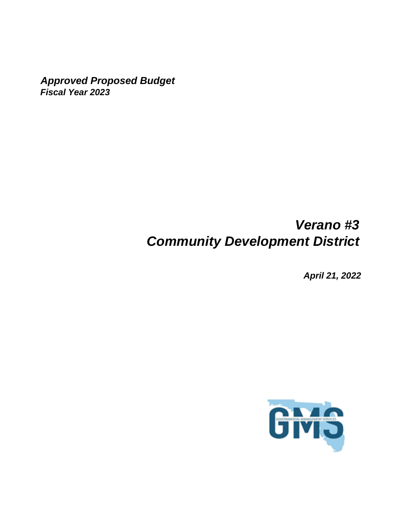*Approved Proposed Budget Fiscal Year 2023*

# *Verano #3 Community Development District*

*April 21, 2022*

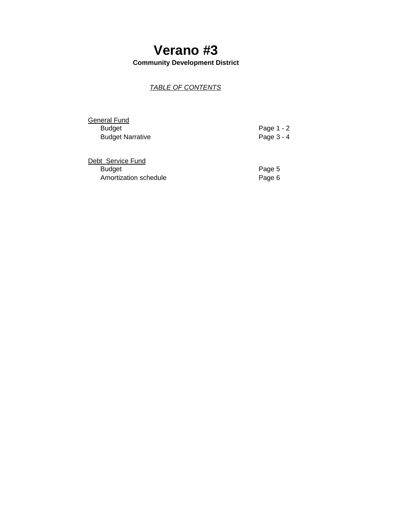**Community Development District**

### *TABLE OF CONTENTS*

General Fund<br>Budget **Budget Narrative** 

Page 1 - 2<br>Page 3 - 4

| Debt Service Fund     |        |
|-----------------------|--------|
| <b>Budget</b>         | Page 5 |
| Amortization schedule | Page 6 |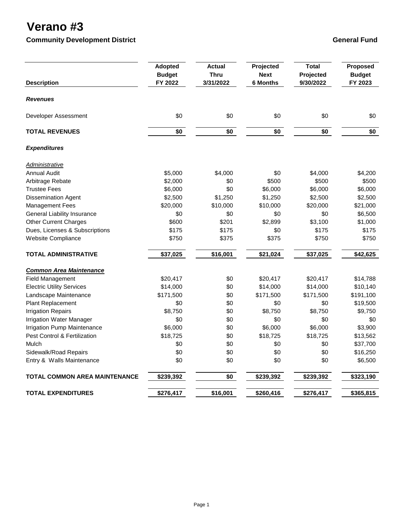### **Community Development District Community Development District Community Development District Community Ceneral Fund**

| <b>Description</b>                   | <b>Adopted</b><br><b>Budget</b><br>FY 2022 | <b>Actual</b><br><b>Thru</b><br>3/31/2022 | Projected<br><b>Next</b><br><b>6 Months</b> | <b>Total</b><br>Projected<br>9/30/2022 | Proposed<br><b>Budget</b><br>FY 2023 |
|--------------------------------------|--------------------------------------------|-------------------------------------------|---------------------------------------------|----------------------------------------|--------------------------------------|
| <b>Revenues</b>                      |                                            |                                           |                                             |                                        |                                      |
| Developer Assessment                 | \$0                                        | \$0                                       | \$0                                         | \$0                                    | \$0                                  |
| <b>TOTAL REVENUES</b>                | \$0                                        | \$0                                       | \$0                                         | \$0                                    | \$0                                  |
| <b>Expenditures</b>                  |                                            |                                           |                                             |                                        |                                      |
| <u>Administrative</u>                |                                            |                                           |                                             |                                        |                                      |
| <b>Annual Audit</b>                  | \$5,000                                    | \$4,000                                   | \$0                                         | \$4,000                                | \$4,200                              |
| Arbitrage Rebate                     | \$2,000                                    | \$0                                       | \$500                                       | \$500                                  | \$500                                |
| <b>Trustee Fees</b>                  | \$6,000                                    | \$0                                       | \$6,000                                     | \$6,000                                | \$6,000                              |
| <b>Dissemination Agent</b>           | \$2,500                                    | \$1,250                                   | \$1,250                                     | \$2,500                                | \$2,500                              |
| <b>Management Fees</b>               | \$20,000                                   | \$10,000                                  | \$10,000                                    | \$20,000                               | \$21,000                             |
| <b>General Liability Insurance</b>   | \$0                                        | \$0                                       | \$0                                         | \$0                                    | \$6,500                              |
| <b>Other Current Charges</b>         | \$600                                      | \$201                                     | \$2,899                                     | \$3,100                                | \$1,000                              |
| Dues, Licenses & Subscriptions       | \$175                                      | \$175                                     | \$0                                         | \$175                                  | \$175                                |
| Website Compliance                   | \$750                                      | \$375                                     | \$375                                       | \$750                                  | \$750                                |
| <b>TOTAL ADMINISTRATIVE</b>          | \$37,025                                   | \$16,001                                  | \$21,024                                    | \$37,025                               | \$42,625                             |
| <b>Common Area Maintenance</b>       |                                            |                                           |                                             |                                        |                                      |
| <b>Field Management</b>              | \$20,417                                   | \$0                                       | \$20,417                                    | \$20,417                               | \$14,788                             |
| <b>Electric Utility Services</b>     | \$14,000                                   | \$0                                       | \$14,000                                    | \$14,000                               | \$10,140                             |
| Landscape Maintenance                | \$171,500                                  | \$0                                       | \$171,500                                   | \$171,500                              | \$191,100                            |
| Plant Replacement                    | \$0                                        | \$0                                       | \$0                                         | \$0                                    | \$19,500                             |
| <b>Irrigation Repairs</b>            | \$8,750                                    | \$0                                       | \$8,750                                     | \$8,750                                | \$9,750                              |
| Irrigation Water Manager             | \$0                                        | \$0                                       | \$0                                         | \$0                                    | \$0                                  |
| <b>Irrigation Pump Maintenance</b>   | \$6,000                                    | \$0                                       | \$6,000                                     | \$6,000                                | \$3,900                              |
| Pest Control & Fertilization         | \$18,725                                   | \$0                                       | \$18,725                                    | \$18,725                               | \$13,562                             |
| Mulch                                | \$0                                        | \$0                                       | \$0                                         | \$0                                    | \$37,700                             |
| Sidewalk/Road Repairs                | \$0                                        | \$0                                       | \$0                                         | \$0                                    | \$16,250                             |
| Entry & Walls Maintenance            | \$0                                        | \$0                                       | \$0                                         | \$0                                    | \$6,500                              |
| <b>TOTAL COMMON AREA MAINTENANCE</b> | \$239,392                                  | \$0                                       | \$239,392                                   | \$239,392                              | \$323,190                            |
| <b>TOTAL EXPENDITURES</b>            | \$276,417                                  | \$16,001                                  | \$260,416                                   | \$276,417                              | \$365,815                            |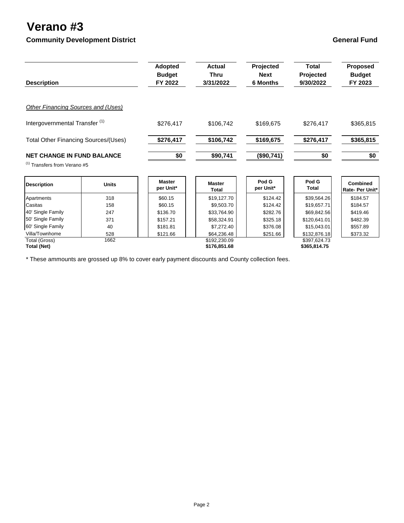## **Community Development District Community Development District Community Development District Community Ceneral Fund**

| <b>Description</b>                                                           |              | <b>Adopted</b><br><b>Budget</b><br>FY 2022 | <b>Actual</b><br><b>Thru</b><br>3/31/2022 | Projected<br><b>Next</b><br><b>6 Months</b> | <b>Total</b><br>Projected<br>9/30/2022 | Proposed<br><b>Budget</b><br>FY 2023 |
|------------------------------------------------------------------------------|--------------|--------------------------------------------|-------------------------------------------|---------------------------------------------|----------------------------------------|--------------------------------------|
| <b>Other Financing Sources and (Uses)</b>                                    |              |                                            |                                           |                                             |                                        |                                      |
| Intergovernmental Transfer <sup>(1)</sup>                                    |              | \$276,417                                  | \$106,742                                 | \$169,675                                   | \$276,417                              | \$365,815                            |
| <b>Total Other Financing Sources/(Uses)</b>                                  |              | \$276,417                                  | \$106,742                                 | \$169,675                                   | \$276,417                              | \$365,815                            |
| <b>NET CHANGE IN FUND BALANCE</b><br><sup>(1)</sup> Transfers from Verano #5 |              | \$0                                        | \$90,741                                  | (\$90,741)                                  | \$0                                    | \$0                                  |
| <b>Description</b>                                                           | <b>Units</b> | <b>Master</b><br>per Unit*                 | <b>Master</b><br><b>Total</b>             | Pod G<br>per Unit*                          | Pod G<br><b>Total</b>                  | <b>Combined</b><br>Rate- Per Unit*   |
| Apartments                                                                   | 318          | \$60.15                                    | \$19,127.70                               | \$124.42                                    | \$39,564.26                            | \$184.57                             |
| Casitas                                                                      | 158          | \$60.15                                    | \$9,503.70                                | \$124.42                                    | \$19,657.71                            | \$184.57                             |
| 40' Single Family                                                            | 247          | \$136.70                                   | \$33,764.90                               | \$282.76                                    | \$69,842.56                            | \$419.46                             |
| 50' Single Family                                                            | 371          | \$157.21                                   | \$58,324.91                               | \$325.18                                    | \$120,641.01                           | \$482.39                             |
| 60' Single Family                                                            | 40           | \$181.81                                   | \$7,272.40                                | \$376.08                                    | \$15,043.01                            | \$557.89                             |
| Villa/Townhome                                                               | 528          | \$121.66                                   | \$64,236.48                               | \$251.66                                    | \$132,876.18                           | \$373.32                             |
| Total (Gross)<br><b>Total (Net)</b>                                          | 1662         |                                            | \$192,230.09<br>\$176,851.68              |                                             | \$397,624.73<br>\$365,814.75           |                                      |

\* These ammounts are grossed up 8% to cover early payment discounts and County collection fees.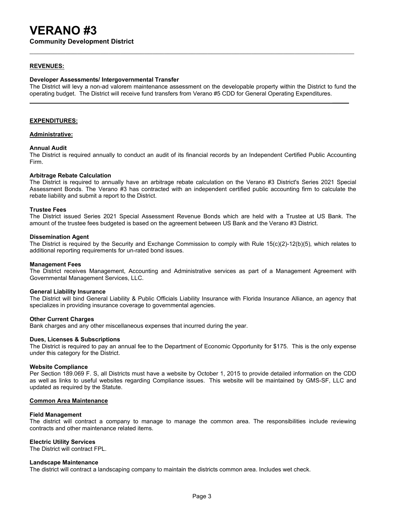### **REVENUES:**

#### **Developer Assessments/ Intergovernmental Transfer**

The District will levy a non-ad valorem maintenance assessment on the developable property within the District to fund the operating budget. The District will receive fund transfers from Verano #5 CDD for General Operating Expenditures.

**\_\_\_\_\_**

#### **EXPENDITURES:**

#### **Administrative:**

#### **Annual Audit**

The District is required annually to conduct an audit of its financial records by an Independent Certified Public Accounting Firm.

#### **Arbitrage Rebate Calculation**

The District is required to annually have an arbitrage rebate calculation on the Verano #3 District's Series 2021 Special Assessment Bonds. The Verano #3 has contracted with an independent certified public accounting firm to calculate the rebate liability and submit a report to the District.

#### **Trustee Fees**

The District issued Series 2021 Special Assessment Revenue Bonds which are held with a Trustee at US Bank. The amount of the trustee fees budgeted is based on the agreement between US Bank and the Verano #3 District.

#### **Dissemination Agent**

The District is required by the Security and Exchange Commission to comply with Rule 15(c)(2)-12(b)(5), which relates to additional reporting requirements for un-rated bond issues.

#### **Management Fees**

The District receives Management, Accounting and Administrative services as part of a Management Agreement with Governmental Management Services, LLC.

#### **General Liability Insurance**

The District will bind General Liability & Public Officials Liability Insurance with Florida Insurance Alliance, an agency that specializes in providing insurance coverage to governmental agencies.

#### **Other Current Charges**

Bank charges and any other miscellaneous expenses that incurred during the year.

#### **Dues, Licenses & Subscriptions**

The District is required to pay an annual fee to the Department of Economic Opportunity for \$175. This is the only expense under this category for the District.

#### **Website Compliance**

Per Section 189.069 F. S, all Districts must have a website by October 1, 2015 to provide detailed information on the CDD as well as links to useful websites regarding Compliance issues. This website will be maintained by GMS-SF, LLC and updated as required by the Statute.

#### **Common Area Maintenance**

#### **Field Management**

The district will contract a company to manage to manage the common area. The responsibilities include reviewing contracts and other maintenance related items.

#### **Electric Utility Services**

The District will contract FPL.

#### **Landscape Maintenance**

The district will contract a landscaping company to maintain the districts common area. Includes wet check.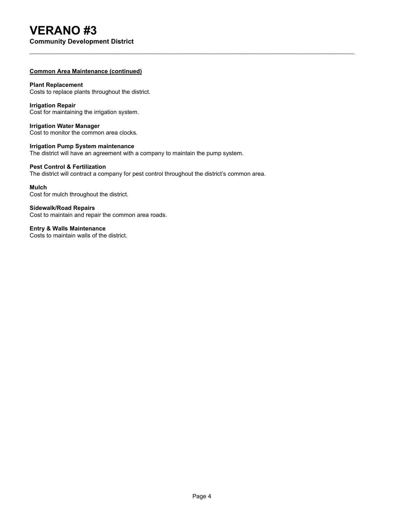# **VERANO #3**

**Community Development District**

### **Common Area Maintenance (continued)**

### **Plant Replacement**

Costs to replace plants throughout the district.

### **Irrigation Repair**

Cost for maintaining the irrigation system.

**Irrigation Water Manager** Cost to monitor the common area clocks.

## **Irrigation Pump System maintenance**

The district will have an agreement with a company to maintain the pump system.

### **Pest Control & Fertilization**

The district will contract a company for pest control throughout the district's common area.

#### **Mulch**

Cost for mulch throughout the district.

**Sidewalk/Road Repairs** Cost to maintain and repair the common area roads.

**Entry & Walls Maintenance** Costs to maintain walls of the district.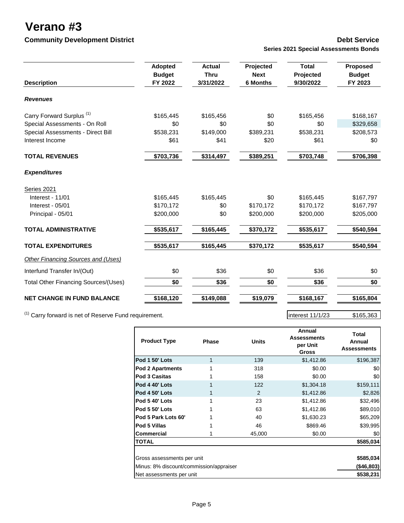### **Community Development District Community Development District Community Debt Service**

# **Series 2021 Special Assessments Bonds**

|                                             | <b>Adopted</b> | <b>Actual</b> | Projected       | <b>Total</b> | <b>Proposed</b> |
|---------------------------------------------|----------------|---------------|-----------------|--------------|-----------------|
|                                             | <b>Budget</b>  | <b>Thru</b>   | <b>Next</b>     | Projected    | <b>Budget</b>   |
| <b>Description</b>                          | FY 2022        | 3/31/2022     | <b>6 Months</b> | 9/30/2022    | FY 2023         |
| <b>Revenues</b>                             |                |               |                 |              |                 |
| Carry Forward Surplus <sup>(1)</sup>        | \$165,445      | \$165,456     | \$0             | \$165,456    | \$168,167       |
| Special Assessments - On Roll               | \$0            | \$0           | \$0             | \$0          | \$329,658       |
| Special Assessments - Direct Bill           | \$538,231      | \$149,000     | \$389,231       | \$538,231    | \$208,573       |
| Interest Income                             | \$61           | \$41          | \$20            | \$61         | \$0             |
| <b>TOTAL REVENUES</b>                       | \$703,736      | \$314,497     | \$389,251       | \$703,748    | \$706,398       |
| <b>Expenditures</b>                         |                |               |                 |              |                 |
| <b>Series 2021</b>                          |                |               |                 |              |                 |
| Interest - 11/01                            | \$165,445      | \$165,445     | \$0             | \$165,445    | \$167,797       |
| Interest - 05/01                            | \$170,172      | \$0           | \$170,172       | \$170,172    | \$167,797       |
| Principal - 05/01                           | \$200,000      | \$0           | \$200,000       | \$200,000    | \$205,000       |
| <b>TOTAL ADMINISTRATIVE</b>                 | \$535,617      | \$165,445     | \$370,172       | \$535,617    | \$540,594       |
| <b>TOTAL EXPENDITURES</b>                   | \$535,617      | \$165,445     | \$370,172       | \$535,617    | \$540,594       |
| Other Financing Sources and (Uses)          |                |               |                 |              |                 |
| Interfund Transfer In/(Out)                 | \$0            | \$36          | \$0             | \$36         | \$0             |
| <b>Total Other Financing Sources/(Uses)</b> | \$0            | \$36          | \$0             | \$36         | \$0             |
| <b>NET CHANGE IN FUND BALANCE</b>           | \$168,120      | \$149,088     | \$19,079        | \$168,167    | \$165,804       |
|                                             |                |               |                 |              |                 |

 $(1)$  Carry forward is net of Reserve Fund requirement.

| <b>Product Type</b>                     | <b>Phase</b> | <b>Units</b>   | Annual<br><b>Assessments</b><br>per Unit<br><b>Gross</b> | Total<br>Annual<br><b>Assessments</b> |
|-----------------------------------------|--------------|----------------|----------------------------------------------------------|---------------------------------------|
| Pod 1 50' Lots                          | 1            | 139            | \$1,412.86                                               | \$196,387                             |
| <b>Pod 2 Apartments</b>                 |              | 318            | \$0.00                                                   | \$0                                   |
| Pod 3 Casitas                           |              | 158            | \$0.00                                                   | \$0                                   |
| Pod 4 40' Lots                          |              | 122            | \$1,304.18                                               | \$159,111                             |
| Pod 4 50' Lots                          |              | $\mathfrak{p}$ | \$1,412.86                                               | \$2,826                               |
| Pod 5 40' Lots                          |              | 23             | \$1,412.86                                               | \$32,496                              |
| Pod 5 50' Lots                          |              | 63             | \$1,412.86                                               | \$89,010                              |
| Pod 5 Park Lots 60'                     |              | 40             | \$1,630.23                                               | \$65,209                              |
| Pod 5 Villas                            |              | 46             | \$869.46                                                 | \$39,995                              |
| <b>Commercial</b>                       |              | 45,000         | \$0.00                                                   | \$0                                   |
| <b>TOTAL</b>                            |              |                |                                                          | \$585,034                             |
|                                         |              |                |                                                          |                                       |
| Gross assessments per unit              |              |                |                                                          | \$585,034                             |
| Minus: 8% discount/commission/appraiser | (\$46,803)   |                |                                                          |                                       |
| Net assessments per unit                |              |                |                                                          | \$538,231                             |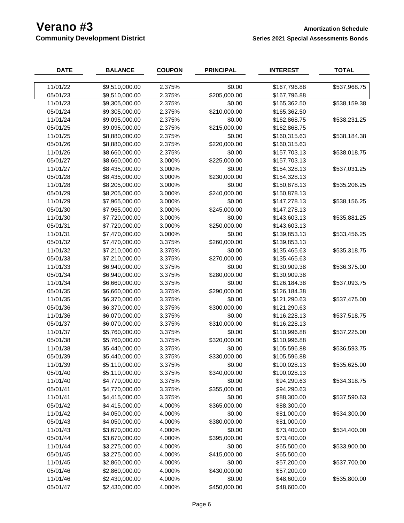## **Verano #3**<br> **Amortization Schedule**<br> **Community Development District**<br> **Amortization Schedule**<br> **Amortization Schedule**<br> **Amortization Schedule**<br> **Amortization Schedule Series 2021 Special Assessments Bonds**

| <b>DATE</b> | <b>BALANCE</b> | <b>COUPON</b> | <b>PRINCIPAL</b> | <b>INTEREST</b> | <b>TOTAL</b> |
|-------------|----------------|---------------|------------------|-----------------|--------------|
|             |                |               |                  |                 |              |
| 11/01/22    | \$9,510,000.00 | 2.375%        | \$0.00           | \$167,796.88    | \$537,968.75 |
| 05/01/23    | \$9,510,000.00 | 2.375%        | \$205,000.00     | \$167,796.88    |              |
| 11/01/23    | \$9,305,000.00 | 2.375%        | \$0.00           | \$165,362.50    | \$538,159.38 |
| 05/01/24    | \$9,305,000.00 | 2.375%        | \$210,000.00     | \$165,362.50    |              |
| 11/01/24    | \$9,095,000.00 | 2.375%        | \$0.00           | \$162,868.75    | \$538,231.25 |
| 05/01/25    | \$9,095,000.00 | 2.375%        | \$215,000.00     | \$162,868.75    |              |
| 11/01/25    | \$8,880,000.00 | 2.375%        | \$0.00           | \$160,315.63    | \$538,184.38 |
| 05/01/26    | \$8,880,000.00 | 2.375%        | \$220,000.00     | \$160,315.63    |              |
| 11/01/26    | \$8,660,000.00 | 2.375%        | \$0.00           | \$157,703.13    | \$538,018.75 |
| 05/01/27    | \$8,660,000.00 | 3.000%        | \$225,000.00     | \$157,703.13    |              |
| 11/01/27    | \$8,435,000.00 | 3.000%        | \$0.00           | \$154,328.13    | \$537,031.25 |
| 05/01/28    | \$8,435,000.00 | 3.000%        | \$230,000.00     | \$154,328.13    |              |
| 11/01/28    | \$8,205,000.00 | 3.000%        | \$0.00           | \$150,878.13    | \$535,206.25 |
| 05/01/29    | \$8,205,000.00 | 3.000%        | \$240,000.00     | \$150,878.13    |              |
| 11/01/29    | \$7,965,000.00 | 3.000%        | \$0.00           | \$147,278.13    | \$538,156.25 |
| 05/01/30    | \$7,965,000.00 | 3.000%        | \$245,000.00     | \$147,278.13    |              |
| 11/01/30    | \$7,720,000.00 | 3.000%        | \$0.00           | \$143,603.13    | \$535,881.25 |
| 05/01/31    | \$7,720,000.00 | 3.000%        | \$250,000.00     | \$143,603.13    |              |
| 11/01/31    | \$7,470,000.00 | 3.000%        | \$0.00           | \$139,853.13    | \$533,456.25 |
| 05/01/32    | \$7,470,000.00 | 3.375%        | \$260,000.00     | \$139,853.13    |              |
| 11/01/32    | \$7,210,000.00 | 3.375%        | \$0.00           | \$135,465.63    | \$535,318.75 |
| 05/01/33    | \$7,210,000.00 | 3.375%        | \$270,000.00     | \$135,465.63    |              |
| 11/01/33    | \$6,940,000.00 | 3.375%        | \$0.00           | \$130,909.38    | \$536,375.00 |
| 05/01/34    | \$6,940,000.00 | 3.375%        | \$280,000.00     | \$130,909.38    |              |
| 11/01/34    | \$6,660,000.00 | 3.375%        | \$0.00           | \$126,184.38    | \$537,093.75 |
| 05/01/35    | \$6,660,000.00 | 3.375%        | \$290,000.00     | \$126,184.38    |              |
| 11/01/35    | \$6,370,000.00 | 3.375%        | \$0.00           | \$121,290.63    | \$537,475.00 |
| 05/01/36    | \$6,370,000.00 | 3.375%        | \$300,000.00     | \$121,290.63    |              |
| 11/01/36    | \$6,070,000.00 | 3.375%        | \$0.00           | \$116,228.13    | \$537,518.75 |
| 05/01/37    | \$6,070,000.00 | 3.375%        | \$310,000.00     | \$116,228.13    |              |
| 11/01/37    | \$5,760,000.00 | 3.375%        | \$0.00           | \$110,996.88    | \$537,225.00 |
| 05/01/38    | \$5,760,000.00 | 3.375%        | \$320,000.00     | \$110,996.88    |              |
| 11/01/38    | \$5,440,000.00 | 3.375%        | \$0.00           | \$105,596.88    | \$536,593.75 |
| 05/01/39    | \$5,440,000.00 | 3.375%        | \$330,000.00     | \$105,596.88    |              |
| 11/01/39    | \$5,110,000.00 | 3.375%        | \$0.00           | \$100,028.13    | \$535,625.00 |
| 05/01/40    | \$5,110,000.00 | 3.375%        | \$340,000.00     | \$100,028.13    |              |
| 11/01/40    | \$4,770,000.00 | 3.375%        | \$0.00           | \$94,290.63     | \$534,318.75 |
| 05/01/41    | \$4,770,000.00 | 3.375%        | \$355,000.00     | \$94,290.63     |              |
| 11/01/41    | \$4,415,000.00 | 3.375%        | \$0.00           | \$88,300.00     | \$537,590.63 |
| 05/01/42    | \$4,415,000.00 | 4.000%        | \$365,000.00     | \$88,300.00     |              |
| 11/01/42    | \$4,050,000.00 | 4.000%        | \$0.00           | \$81,000.00     | \$534,300.00 |
| 05/01/43    | \$4,050,000.00 | 4.000%        | \$380,000.00     | \$81,000.00     |              |
| 11/01/43    | \$3,670,000.00 | 4.000%        | \$0.00           | \$73,400.00     | \$534,400.00 |
| 05/01/44    | \$3,670,000.00 | 4.000%        | \$395,000.00     | \$73,400.00     |              |
| 11/01/44    | \$3,275,000.00 | 4.000%        | \$0.00           | \$65,500.00     | \$533,900.00 |
| 05/01/45    | \$3,275,000.00 | 4.000%        | \$415,000.00     | \$65,500.00     |              |
| 11/01/45    | \$2,860,000.00 | 4.000%        | \$0.00           | \$57,200.00     | \$537,700.00 |
| 05/01/46    | \$2,860,000.00 | 4.000%        | \$430,000.00     | \$57,200.00     |              |
| 11/01/46    | \$2,430,000.00 | 4.000%        | \$0.00           | \$48,600.00     | \$535,800.00 |
| 05/01/47    | \$2,430,000.00 | 4.000%        | \$450,000.00     | \$48,600.00     |              |